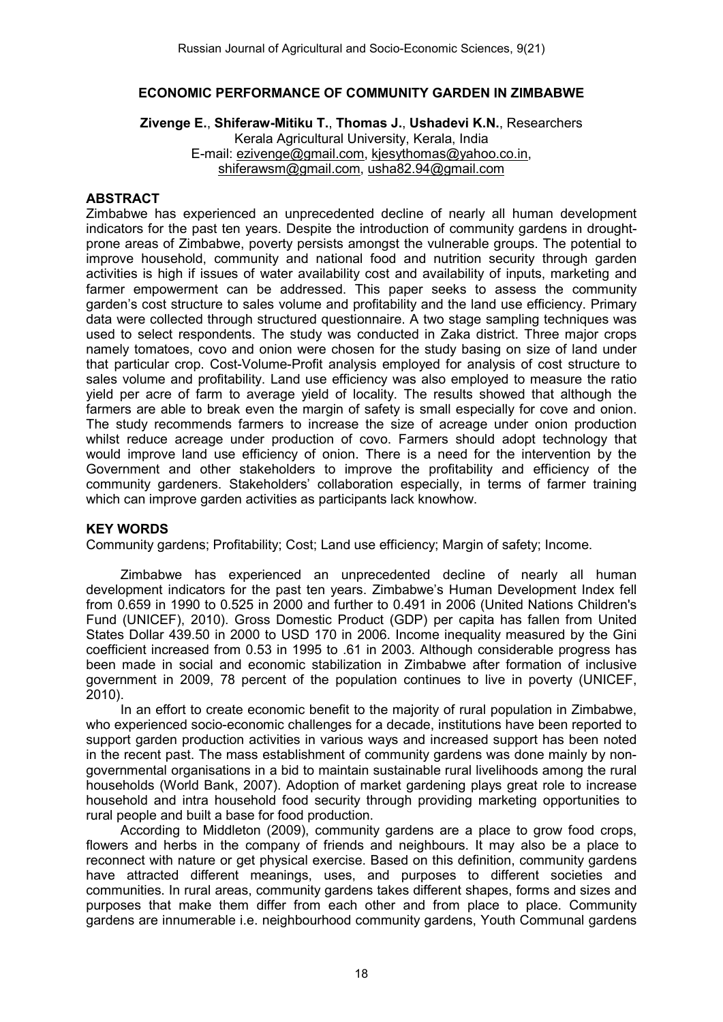## ECONOMIC PERFORMANCE OF COMMUNITY GARDEN IN ZIMBABWE

### Zivenge E., Shiferaw-Mitiku T., Thomas J., Ushadevi K.N., Researchers Kerala Agricultural University, Kerala, India E-mail: ezivenge@gmail.com, kjesythomas@yahoo.co.in, shiferawsm@gmail.com, usha82.94@gmail.com

### **ABSTRACT**

Zimbabwe has experienced an unprecedented decline of nearly all human development indicators for the past ten years. Despite the introduction of community gardens in droughtprone areas of Zimbabwe, poverty persists amongst the vulnerable groups. The potential to improve household, community and national food and nutrition security through garden activities is high if issues of water availability cost and availability of inputs, marketing and farmer empowerment can be addressed. This paper seeks to assess the community garden's cost structure to sales volume and profitability and the land use efficiency. Primary data were collected through structured questionnaire. A two stage sampling techniques was used to select respondents. The study was conducted in Zaka district. Three major crops namely tomatoes, covo and onion were chosen for the study basing on size of land under that particular crop. Cost-Volume-Profit analysis employed for analysis of cost structure to sales volume and profitability. Land use efficiency was also employed to measure the ratio yield per acre of farm to average yield of locality. The results showed that although the farmers are able to break even the margin of safety is small especially for cove and onion. The study recommends farmers to increase the size of acreage under onion production whilst reduce acreage under production of covo. Farmers should adopt technology that would improve land use efficiency of onion. There is a need for the intervention by the Government and other stakeholders to improve the profitability and efficiency of the community gardeners. Stakeholders' collaboration especially, in terms of farmer training which can improve garden activities as participants lack knowhow.

### KEY WORDS

Community gardens; Profitability; Cost; Land use efficiency; Margin of safety; Income.

Zimbabwe has experienced an unprecedented decline of nearly all human development indicators for the past ten years. Zimbabwe's Human Development Index fell from 0.659 in 1990 to 0.525 in 2000 and further to 0.491 in 2006 (United Nations Children's Fund (UNICEF), 2010). Gross Domestic Product (GDP) per capita has fallen from United States Dollar 439.50 in 2000 to USD 170 in 2006. Income inequality measured by the Gini coefficient increased from 0.53 in 1995 to .61 in 2003. Although considerable progress has been made in social and economic stabilization in Zimbabwe after formation of inclusive government in 2009, 78 percent of the population continues to live in poverty (UNICEF, 2010).

In an effort to create economic benefit to the majority of rural population in Zimbabwe, who experienced socio-economic challenges for a decade, institutions have been reported to support garden production activities in various ways and increased support has been noted in the recent past. The mass establishment of community gardens was done mainly by nongovernmental organisations in a bid to maintain sustainable rural livelihoods among the rural households (World Bank, 2007). Adoption of market gardening plays great role to increase household and intra household food security through providing marketing opportunities to rural people and built a base for food production.

According to Middleton (2009), community gardens are a place to grow food crops, flowers and herbs in the company of friends and neighbours. It may also be a place to reconnect with nature or get physical exercise. Based on this definition, community gardens have attracted different meanings, uses, and purposes to different societies and communities. In rural areas, community gardens takes different shapes, forms and sizes and purposes that make them differ from each other and from place to place. Community gardens are innumerable i.e. neighbourhood community gardens, Youth Communal gardens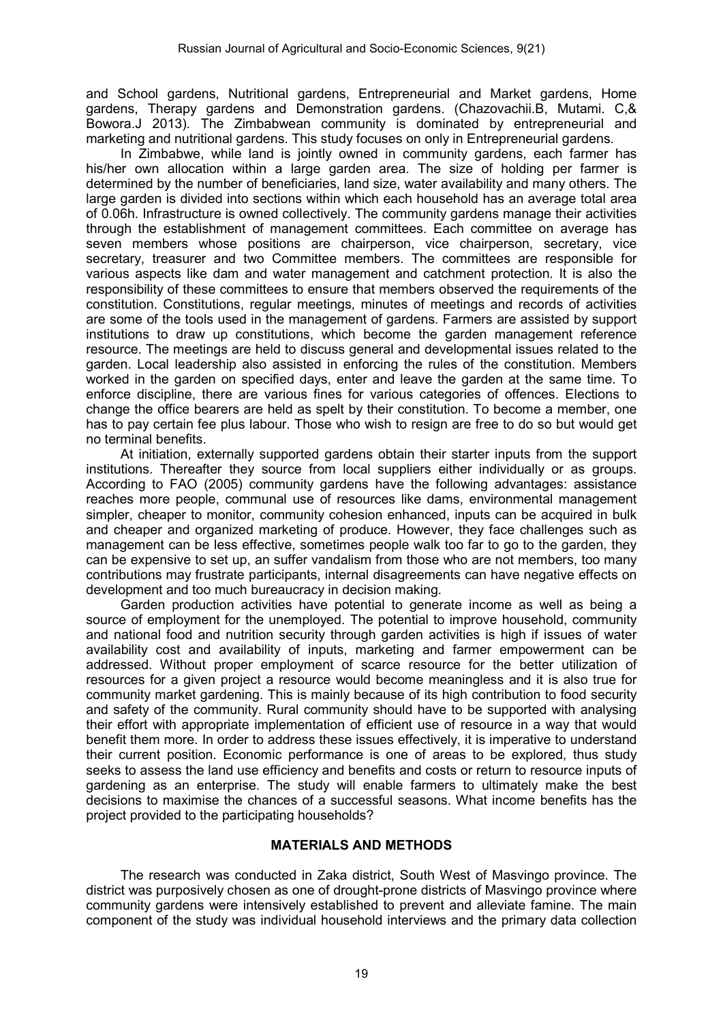and School gardens, Nutritional gardens, Entrepreneurial and Market gardens, Home gardens, Therapy gardens and Demonstration gardens. (Chazovachii.B, Mutami. C,& Bowora.J 2013). The Zimbabwean community is dominated by entrepreneurial and marketing and nutritional gardens. This study focuses on only in Entrepreneurial gardens.

In Zimbabwe, while land is jointly owned in community gardens, each farmer has his/her own allocation within a large garden area. The size of holding per farmer is determined by the number of beneficiaries, land size, water availability and many others. The large garden is divided into sections within which each household has an average total area of 0.06h. Infrastructure is owned collectively. The community gardens manage their activities through the establishment of management committees. Each committee on average has seven members whose positions are chairperson, vice chairperson, secretary, vice secretary, treasurer and two Committee members. The committees are responsible for various aspects like dam and water management and catchment protection. It is also the responsibility of these committees to ensure that members observed the requirements of the constitution. Constitutions, regular meetings, minutes of meetings and records of activities are some of the tools used in the management of gardens. Farmers are assisted by support institutions to draw up constitutions, which become the garden management reference resource. The meetings are held to discuss general and developmental issues related to the garden. Local leadership also assisted in enforcing the rules of the constitution. Members worked in the garden on specified days, enter and leave the garden at the same time. To enforce discipline, there are various fines for various categories of offences. Elections to change the office bearers are held as spelt by their constitution. To become a member, one has to pay certain fee plus labour. Those who wish to resign are free to do so but would get no terminal benefits.

At initiation, externally supported gardens obtain their starter inputs from the support institutions. Thereafter they source from local suppliers either individually or as groups. According to FAO (2005) community gardens have the following advantages: assistance reaches more people, communal use of resources like dams, environmental management simpler, cheaper to monitor, community cohesion enhanced, inputs can be acquired in bulk and cheaper and organized marketing of produce. However, they face challenges such as management can be less effective, sometimes people walk too far to go to the garden, they can be expensive to set up, an suffer vandalism from those who are not members, too many contributions may frustrate participants, internal disagreements can have negative effects on development and too much bureaucracy in decision making.

Garden production activities have potential to generate income as well as being a source of employment for the unemployed. The potential to improve household, community and national food and nutrition security through garden activities is high if issues of water availability cost and availability of inputs, marketing and farmer empowerment can be addressed. Without proper employment of scarce resource for the better utilization of resources for a given project a resource would become meaningless and it is also true for community market gardening. This is mainly because of its high contribution to food security and safety of the community. Rural community should have to be supported with analysing their effort with appropriate implementation of efficient use of resource in a way that would benefit them more. In order to address these issues effectively, it is imperative to understand their current position. Economic performance is one of areas to be explored, thus study seeks to assess the land use efficiency and benefits and costs or return to resource inputs of gardening as an enterprise. The study will enable farmers to ultimately make the best decisions to maximise the chances of a successful seasons. What income benefits has the project provided to the participating households?

# MATERIALS AND METHODS

The research was conducted in Zaka district, South West of Masvingo province. The district was purposively chosen as one of drought-prone districts of Masvingo province where community gardens were intensively established to prevent and alleviate famine. The main component of the study was individual household interviews and the primary data collection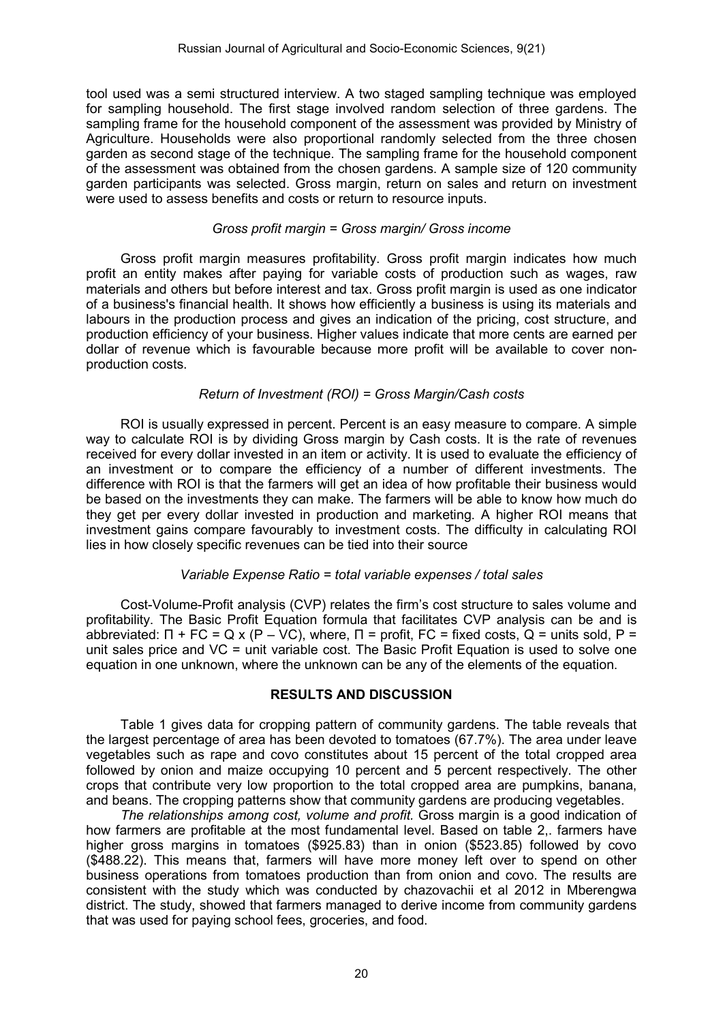tool used was a semi structured interview. A two staged sampling technique was employed for sampling household. The first stage involved random selection of three gardens. The sampling frame for the household component of the assessment was provided by Ministry of Agriculture. Households were also proportional randomly selected from the three chosen garden as second stage of the technique. The sampling frame for the household component of the assessment was obtained from the chosen gardens. A sample size of 120 community garden participants was selected. Gross margin, return on sales and return on investment were used to assess benefits and costs or return to resource inputs.

### *Gross profit margin = Gross margin/ Gross income*

Gross profit margin measures profitability. Gross profit margin indicates how much profit an entity makes after paying for variable costs of production such as wages, raw materials and others but before interest and tax. Gross profit margin is used as one indicator of a business's financial health. It shows how efficiently a business is using its materials and labours in the production process and gives an indication of the pricing, cost structure, and production efficiency of your business. Higher values indicate that more cents are earned per dollar of revenue which is favourable because more profit will be available to cover nonproduction costs.

## *Return of Investment (ROI) = Gross Margin/Cash costs*

ROI is usually expressed in percent. Percent is an easy measure to compare. A simple way to calculate ROI is by dividing Gross margin by Cash costs. It is the rate of revenues received for every dollar invested in an item or activity. It is used to evaluate the efficiency of an investment or to compare the efficiency of a number of different investments. The difference with ROI is that the farmers will get an idea of how profitable their business would be based on the investments they can make. The farmers will be able to know how much do they get per every dollar invested in production and marketing. A higher ROI means that investment gains compare favourably to investment costs. The difficulty in calculating ROI lies in how closely specific revenues can be tied into their source

## *Variable Expense Ratio = total variable expenses / total sales*

Cost-Volume-Profit analysis (CVP) relates the firm's cost structure to sales volume and profitability. The Basic Profit Equation formula that facilitates CVP analysis can be and is abbreviated:  $\Pi$  + FC = Q x (P – VC), where,  $\Pi$  = profit, FC = fixed costs, Q = units sold, P = unit sales price and VC = unit variable cost. The Basic Profit Equation is used to solve one equation in one unknown, where the unknown can be any of the elements of the equation.

### RESULTS AND DISCUSSION

Table 1 gives data for cropping pattern of community gardens. The table reveals that the largest percentage of area has been devoted to tomatoes (67.7%). The area under leave vegetables such as rape and covo constitutes about 15 percent of the total cropped area followed by onion and maize occupying 10 percent and 5 percent respectively. The other crops that contribute very low proportion to the total cropped area are pumpkins, banana, and beans. The cropping patterns show that community gardens are producing vegetables.

*The relationships among cost, volume and profit.* Gross margin is a good indication of how farmers are profitable at the most fundamental level. Based on table 2,. farmers have higher gross margins in tomatoes (\$925.83) than in onion (\$523.85) followed by covo (\$488.22). This means that, farmers will have more money left over to spend on other business operations from tomatoes production than from onion and covo. The results are consistent with the study which was conducted by chazovachii et al 2012 in Mberengwa district. The study, showed that farmers managed to derive income from community gardens that was used for paying school fees, groceries, and food.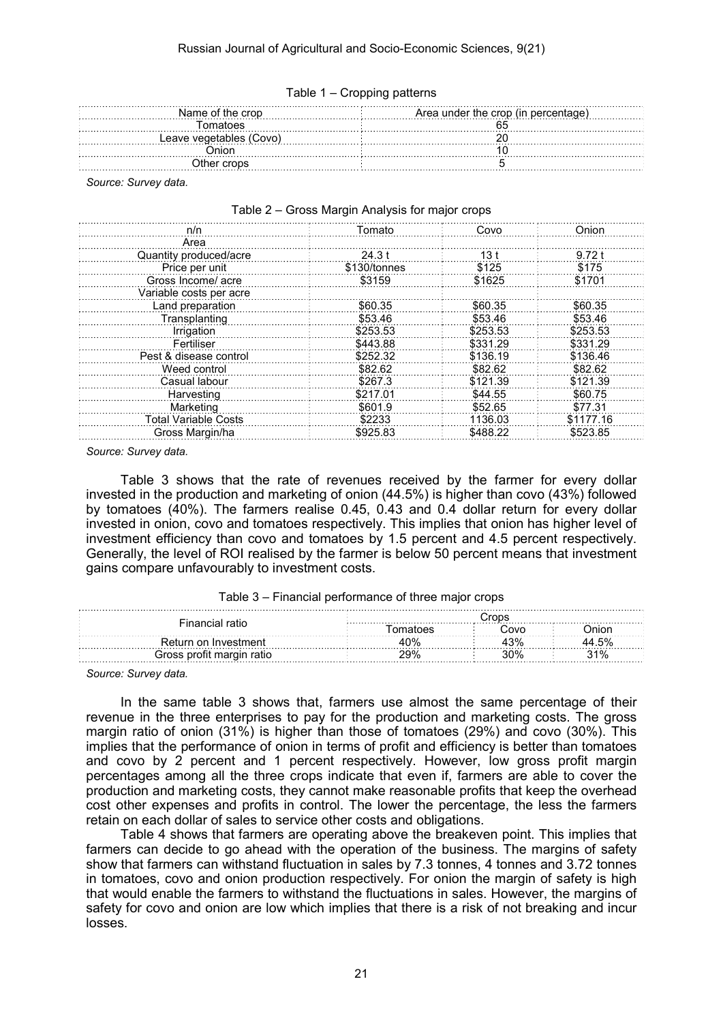#### Table 1 – Cropping patterns

| Name of the crop        | Area under the crop (in percentage) |
|-------------------------|-------------------------------------|
|                         |                                     |
| Leave vegetables (Covo, |                                     |
|                         |                                     |
|                         |                                     |

*Source: Survey data.*

### Table 2 – Gross Margin Analysis for major crops

| n/n                         | Tomato       | Covo     | Onion     |
|-----------------------------|--------------|----------|-----------|
| Area                        |              |          |           |
| Quantity produced/acre      | 24.3 t       | 13t      | 9.72t     |
| Price per unit              | \$130/tonnes | \$125    | \$175     |
| Gross Income/acre           | \$3159       | \$1625   | \$1701    |
| Variable costs per acre     |              |          |           |
| Land preparation            | \$60.35      | \$60.35  | \$60.35   |
| Transplanting               | \$53.46      | \$53.46  | \$53.46   |
| Irrigation                  | \$253.53     | \$253.53 | \$253.53  |
| Fertiliser                  | \$443.88     | \$331.29 | \$331.29  |
| Pest & disease control      | \$252.32     | \$136.19 | \$136.46  |
| Weed control                | \$82.62      | \$82.62  | \$82.62   |
| Casual labour               | \$267.3      | \$121.39 | \$121.39  |
| Harvesting                  | \$217.01     | \$44.55  | \$60.75   |
| Marketing                   | \$601.9      | \$52.65  | \$77.31   |
| <b>Total Variable Costs</b> | \$2233       | 1136.03  | \$1177.16 |
| Gross Margin/ha             | \$925.83     | \$488.22 | \$523.85  |

*Source: Survey data.*

Table 3 shows that the rate of revenues received by the farmer for every dollar invested in the production and marketing of onion (44.5%) is higher than covo (43%) followed by tomatoes (40%). The farmers realise 0.45, 0.43 and 0.4 dollar return for every dollar invested in onion, covo and tomatoes respectively. This implies that onion has higher level of investment efficiency than covo and tomatoes by 1.5 percent and 4.5 percent respectively. Generally, the level of ROI realised by the farmer is below 50 percent means that investment gains compare unfavourably to investment costs.

#### Einancial ratio Crops<br>
Tomatoes Covo Tomatoes Covo Onion<br>40% 43% 44.5% Return on Investment 40% Gross profit margin ratio 29% 29% 30% 30% 31% 31%

#### Table 3 – Financial performance of three major crops

*Source: Survey data.*

In the same table 3 shows that, farmers use almost the same percentage of their revenue in the three enterprises to pay for the production and marketing costs. The gross margin ratio of onion (31%) is higher than those of tomatoes (29%) and covo (30%). This implies that the performance of onion in terms of profit and efficiency is better than tomatoes and covo by 2 percent and 1 percent respectively. However, low gross profit margin percentages among all the three crops indicate that even if, farmers are able to cover the production and marketing costs, they cannot make reasonable profits that keep the overhead cost other expenses and profits in control. The lower the percentage, the less the farmers retain on each dollar of sales to service other costs and obligations.

Table 4 shows that farmers are operating above the breakeven point. This implies that farmers can decide to go ahead with the operation of the business. The margins of safety show that farmers can withstand fluctuation in sales by 7.3 tonnes, 4 tonnes and 3.72 tonnes in tomatoes, covo and onion production respectively. For onion the margin of safety is high that would enable the farmers to withstand the fluctuations in sales. However, the margins of safety for covo and onion are low which implies that there is a risk of not breaking and incur losses.